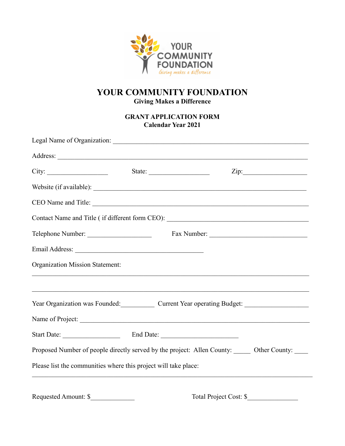

## **YOUR COMMUNITY FOUNDATION Giving Makes a Difference**

## **GRANT APPLICATION FORM Calendar Year 2021**

|                                                                                                                                                                                                                                    |  | City: City: City: City: City: City: City: City: City: City: City: City: City: City: City: City: City: City: City: City: City: City: City: City: City: City: City: City: City: City: City: City: City: City: City: City: City: |
|------------------------------------------------------------------------------------------------------------------------------------------------------------------------------------------------------------------------------------|--|-------------------------------------------------------------------------------------------------------------------------------------------------------------------------------------------------------------------------------|
|                                                                                                                                                                                                                                    |  |                                                                                                                                                                                                                               |
|                                                                                                                                                                                                                                    |  |                                                                                                                                                                                                                               |
|                                                                                                                                                                                                                                    |  |                                                                                                                                                                                                                               |
| Telephone Number:                                                                                                                                                                                                                  |  |                                                                                                                                                                                                                               |
|                                                                                                                                                                                                                                    |  |                                                                                                                                                                                                                               |
| Organization Mission Statement:                                                                                                                                                                                                    |  |                                                                                                                                                                                                                               |
|                                                                                                                                                                                                                                    |  | <u> 1989 - Paris Paragonia de Paragonia de Paragonia de Estados de Estados de Estados de Estados de Estados do </u><br>Year Organization was Founded: Current Year operating Budget: __________________                       |
|                                                                                                                                                                                                                                    |  | Name of Project:                                                                                                                                                                                                              |
| Start Date: <u>Charles Communication</u> End Date: Charles Communication Communication Communication Communication Communication Communication Communication Communication Communication Communication Communication Communication |  |                                                                                                                                                                                                                               |
|                                                                                                                                                                                                                                    |  | Proposed Number of people directly served by the project: Allen County: ______ Other County: _____                                                                                                                            |
| Please list the communities where this project will take place:                                                                                                                                                                    |  |                                                                                                                                                                                                                               |
|                                                                                                                                                                                                                                    |  | Total Project Cost: \$                                                                                                                                                                                                        |